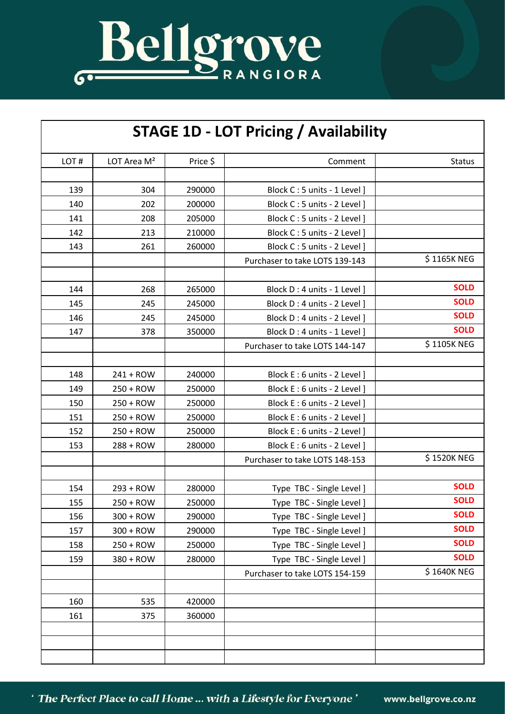

## **STAGE 1D - LOT Pricing / Availability**

| LOT# | LOT Area M <sup>2</sup> | Price \$ | Comment                        | <b>Status</b> |
|------|-------------------------|----------|--------------------------------|---------------|
|      |                         |          |                                |               |
| 139  | 304                     | 290000   | Block C: 5 units - 1 Level]    |               |
| 140  | 202                     | 200000   | Block C: 5 units - 2 Level]    |               |
| 141  | 208                     | 205000   | Block C: 5 units - 2 Level]    |               |
| 142  | 213                     | 210000   | Block C: 5 units - 2 Level]    |               |
| 143  | 261                     | 260000   | Block C: 5 units - 2 Level ]   |               |
|      |                         |          | Purchaser to take LOTS 139-143 | \$1165K NEG   |
|      |                         |          |                                |               |
| 144  | 268                     | 265000   | Block D: 4 units - 1 Level]    | <b>SOLD</b>   |
| 145  | 245                     | 245000   | Block D: 4 units - 2 Level]    | <b>SOLD</b>   |
| 146  | 245                     | 245000   | Block D: 4 units - 2 Level]    | <b>SOLD</b>   |
| 147  | 378                     | 350000   | Block D: 4 units - 1 Level]    | <b>SOLD</b>   |
|      |                         |          | Purchaser to take LOTS 144-147 | \$1105K NEG   |
|      |                         |          |                                |               |
| 148  | $241 + ROW$             | 240000   | Block E: 6 units - 2 Level]    |               |
| 149  | $250 + ROW$             | 250000   | Block E: 6 units - 2 Level ]   |               |
| 150  | $250 + ROW$             | 250000   | Block E: 6 units - 2 Level]    |               |
| 151  | $250 + ROW$             | 250000   | Block E: 6 units - 2 Level]    |               |
| 152  | $250 + ROW$             | 250000   | Block E: 6 units - 2 Level]    |               |
| 153  | $288 +$ ROW             | 280000   | Block E: 6 units - 2 Level]    |               |
|      |                         |          | Purchaser to take LOTS 148-153 | \$1520K NEG   |
|      |                         |          |                                |               |
| 154  | $293 + ROW$             | 280000   | Type TBC - Single Level ]      | <b>SOLD</b>   |
| 155  | 250 + ROW               | 250000   | Type TBC - Single Level ]      | <b>SOLD</b>   |
| 156  | 300 + ROW               | 290000   | Type TBC - Single Level ]      | <b>SOLD</b>   |
| 157  | 300 + ROW               | 290000   | Type TBC - Single Level ]      | <b>SOLD</b>   |
| 158  | $250 + ROW$             | 250000   | Type TBC - Single Level ]      | <b>SOLD</b>   |
| 159  | 380 + ROW               | 280000   | Type TBC - Single Level ]      | <b>SOLD</b>   |
|      |                         |          | Purchaser to take LOTS 154-159 | \$1640K NEG   |
|      |                         |          |                                |               |
| 160  | 535                     | 420000   |                                |               |
| 161  | 375                     | 360000   |                                |               |
|      |                         |          |                                |               |
|      |                         |          |                                |               |
|      |                         |          |                                |               |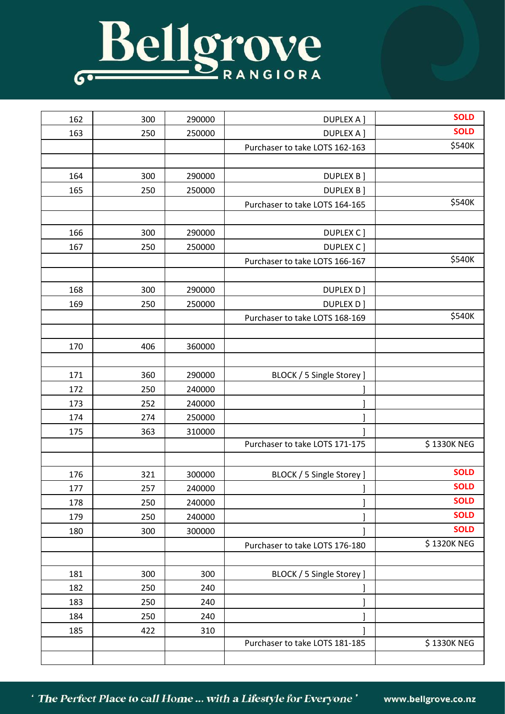## Bellgrove

| 162 | 300 | 290000 | <b>DUPLEX A ]</b>              | <b>SOLD</b> |
|-----|-----|--------|--------------------------------|-------------|
| 163 | 250 | 250000 | <b>DUPLEX A ]</b>              | <b>SOLD</b> |
|     |     |        | Purchaser to take LOTS 162-163 | \$540K      |
|     |     |        |                                |             |
| 164 | 300 | 290000 | DUPLEX B ]                     |             |
| 165 | 250 | 250000 | <b>DUPLEX B]</b>               |             |
|     |     |        | Purchaser to take LOTS 164-165 | \$540K      |
|     |     |        |                                |             |
| 166 | 300 | 290000 | DUPLEX C ]                     |             |
| 167 | 250 | 250000 | DUPLEX C ]                     |             |
|     |     |        | Purchaser to take LOTS 166-167 | \$540K      |
|     |     |        |                                |             |
| 168 | 300 | 290000 | DUPLEX D]                      |             |
| 169 | 250 | 250000 | DUPLEX D]                      |             |
|     |     |        | Purchaser to take LOTS 168-169 | \$540K      |
|     |     |        |                                |             |
| 170 | 406 | 360000 |                                |             |
|     |     |        |                                |             |
| 171 | 360 | 290000 | BLOCK / 5 Single Storey ]      |             |
| 172 | 250 | 240000 |                                |             |
| 173 | 252 | 240000 |                                |             |
| 174 | 274 | 250000 |                                |             |
| 175 | 363 | 310000 |                                |             |
|     |     |        | Purchaser to take LOTS 171-175 | \$1330K NEG |
|     |     |        |                                |             |
| 176 | 321 | 300000 | BLOCK / 5 Single Storey ]      | <b>SOLD</b> |
| 177 | 257 | 240000 | $\mathbf{I}$                   | <b>SOLD</b> |
| 178 | 250 | 240000 |                                | <b>SOLD</b> |
| 179 | 250 | 240000 |                                | <b>SOLD</b> |
| 180 | 300 | 300000 |                                | <b>SOLD</b> |
|     |     |        | Purchaser to take LOTS 176-180 | \$1320K NEG |
|     |     |        |                                |             |
| 181 | 300 | 300    | BLOCK / 5 Single Storey ]      |             |
| 182 | 250 | 240    |                                |             |
| 183 | 250 | 240    |                                |             |
| 184 | 250 | 240    | ı                              |             |
| 185 | 422 | 310    |                                |             |
|     |     |        | Purchaser to take LOTS 181-185 | \$1330K NEG |
|     |     |        |                                |             |